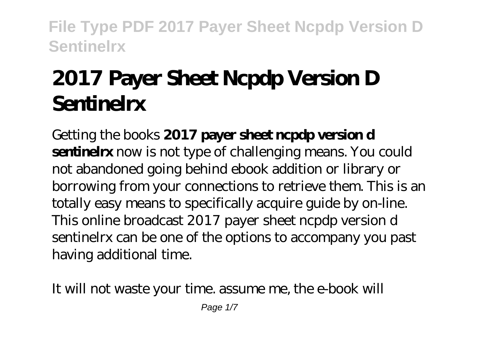# **2017 Payer Sheet Ncpdp Version D Sentinelrx**

Getting the books **2017 payer sheet ncpdp version d sentinelrx** now is not type of challenging means. You could not abandoned going behind ebook addition or library or borrowing from your connections to retrieve them. This is an totally easy means to specifically acquire guide by on-line. This online broadcast 2017 payer sheet ncpdp version d sentinelrx can be one of the options to accompany you past having additional time.

It will not waste your time. assume me, the e-book will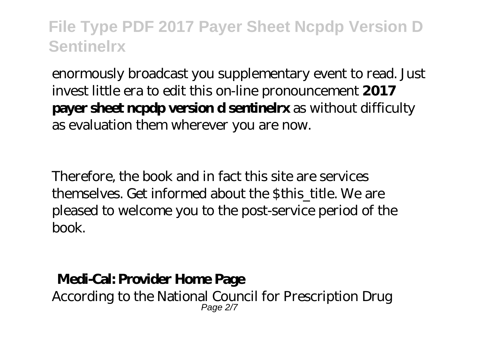enormously broadcast you supplementary event to read. Just invest little era to edit this on-line pronouncement **2017 payer sheet ncpdp version d sentinelrx** as without difficulty as evaluation them wherever you are now.

Therefore, the book and in fact this site are services themselves. Get informed about the \$this\_title. We are pleased to welcome you to the post-service period of the book.

#### **Medi-Cal: Provider Home Page**

According to the National Council for Prescription Drug Page 2/7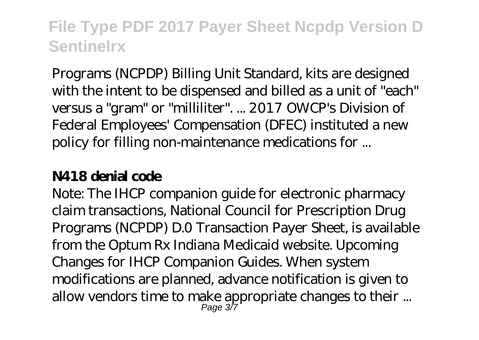Programs (NCPDP) Billing Unit Standard, kits are designed with the intent to be dispensed and billed as a unit of "each" versus a "gram" or "milliliter". ... 2017 OWCP's Division of Federal Employees' Compensation (DFEC) instituted a new policy for filling non-maintenance medications for ...

#### **N418 denial code**

Note: The IHCP companion guide for electronic pharmacy claim transactions, National Council for Prescription Drug Programs (NCPDP) D.0 Transaction Payer Sheet, is available from the Optum Rx Indiana Medicaid website. Upcoming Changes for IHCP Companion Guides. When system modifications are planned, advance notification is given to allow vendors time to make appropriate changes to their ... Page 3/7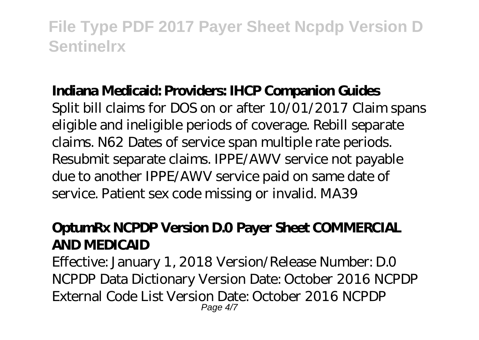#### **Indiana Medicaid: Providers: IHCP Companion Guides**

Split bill claims for DOS on or after 10/01/2017 Claim spans eligible and ineligible periods of coverage. Rebill separate claims. N62 Dates of service span multiple rate periods. Resubmit separate claims. IPPE/AWV service not payable due to another IPPE/AWV service paid on same date of service. Patient sex code missing or invalid. MA39

#### **OptumRx NCPDP Version D.0 Payer Sheet COMMERCIAL AND MEDICAID**

Effective: January 1, 2018 Version/Release Number: D.0 NCPDP Data Dictionary Version Date: October 2016 NCPDP External Code List Version Date: October 2016 NCPDP Page 4/7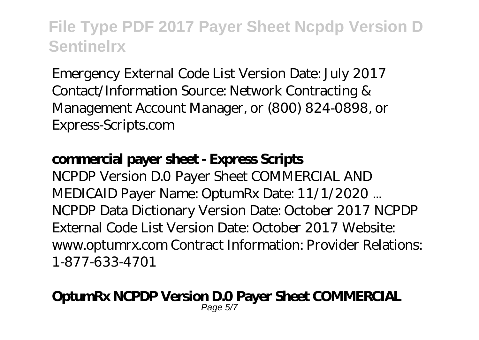Emergency External Code List Version Date: July 2017 Contact/Information Source: Network Contracting & Management Account Manager, or (800) 824-0898, or Express-Scripts.com

#### **commercial payer sheet - Express Scripts**

NCPDP Version D.0 Payer Sheet COMMERCIAL AND MEDICAID Payer Name: OptumRx Date: 11/1/2020 ... NCPDP Data Dictionary Version Date: October 2017 NCPDP External Code List Version Date: October 2017 Website: www.optumrx.com Contract Information: Provider Relations: 1-877-633-4701

#### **OptumRx NCPDP Version D.0 Payer Sheet COMMERCIAL** Page 5/7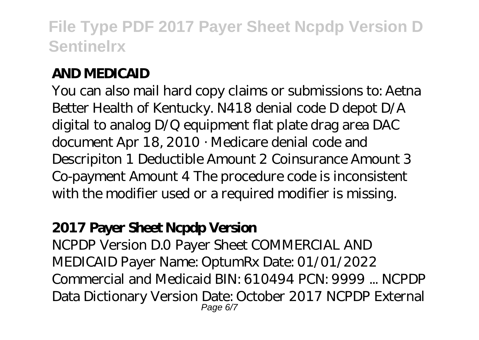#### **AND MEDICAID**

You can also mail hard copy claims or submissions to: Aetna Better Health of Kentucky. N418 denial code D depot D/A digital to analog D/Q equipment flat plate drag area DAC document Apr 18, 2010 · Medicare denial code and Descripiton 1 Deductible Amount 2 Coinsurance Amount 3 Co-payment Amount 4 The procedure code is inconsistent with the modifier used or a required modifier is missing.

#### **2017 Payer Sheet Ncpdp Version**

NCPDP Version D.0 Payer Sheet COMMERCIAL AND MEDICAID Payer Name: OptumRx Date: 01/01/2022 Commercial and Medicaid BIN: 610494 PCN: 9999 ... NCPDP Data Dictionary Version Date: October 2017 NCPDP External Page 6/7